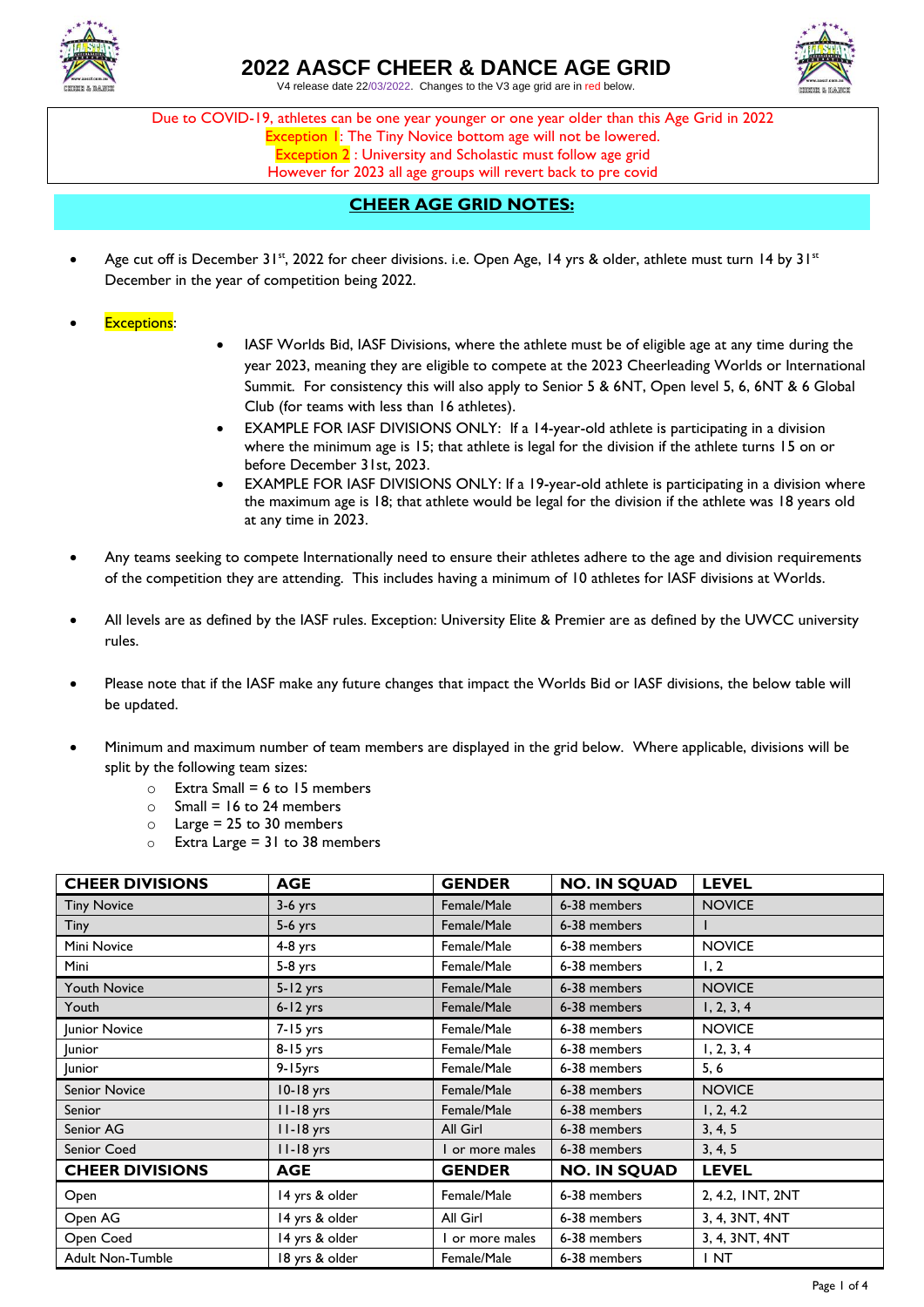

## **2022 AASCF CHEER & DANCE AGE GRID**

V4 release date 22/03/2022. Changes to the V3 age grid are in red below.



Due to COVID-19, athletes can be one year younger or one year older than this Age Grid in 2022 Exception 1: The Tiny Novice bottom age will not be lowered. Exception 2 : University and Scholastic must follow age grid However for 2023 all age groups will revert back to pre covid

## **CHEER AGE GRID NOTES:**

- Age cut off is December 31st, 2022 for cheer divisions. i.e. Open Age, 14 yrs & older, athlete must turn 14 by 31st December in the year of competition being 2022.
- **Exceptions:**
- IASF Worlds Bid, IASF Divisions, where the athlete must be of eligible age at any time during the year 2023, meaning they are eligible to compete at the 2023 Cheerleading Worlds or International Summit. For consistency this will also apply to Senior 5 & 6NT, Open level 5, 6, 6NT & 6 Global Club (for teams with less than 16 athletes).
- EXAMPLE FOR IASF DIVISIONS ONLY: If a 14-year-old athlete is participating in a division where the minimum age is 15; that athlete is legal for the division if the athlete turns 15 on or before December 31st, 2023.
- EXAMPLE FOR IASF DIVISIONS ONLY: If a 19-year-old athlete is participating in a division where the maximum age is 18; that athlete would be legal for the division if the athlete was 18 years old at any time in 2023.
- Any teams seeking to compete Internationally need to ensure their athletes adhere to the age and division requirements of the competition they are attending. This includes having a minimum of 10 athletes for IASF divisions at Worlds.
- All levels are as defined by the IASF rules. Exception: University Elite & Premier are as defined by the UWCC university rules.
- Please note that if the IASF make any future changes that impact the Worlds Bid or IASF divisions, the below table will be updated.
- Minimum and maximum number of team members are displayed in the grid below. Where applicable, divisions will be split by the following team sizes:
	- $\circ$  Extra Small = 6 to 15 members
	- $\circ$  Small = 16 to 24 members
	- $\circ$  Large = 25 to 30 members
	- $\circ$  Extra Large = 31 to 38 members

| <b>CHEER DIVISIONS</b>  | <b>AGE</b>     | <b>GENDER</b> | <b>NO. IN SQUAD</b> | <b>LEVEL</b>     |
|-------------------------|----------------|---------------|---------------------|------------------|
| <b>Tiny Novice</b>      | $3-6$ yrs      | Female/Male   | 6-38 members        | <b>NOVICE</b>    |
| Tiny                    | $5-6$ yrs      | Female/Male   | 6-38 members        |                  |
| Mini Novice             | $4-8$ yrs      | Female/Male   | 6-38 members        | <b>NOVICE</b>    |
| Mini                    | $5-8$ yrs      | Female/Male   | 6-38 members        | 1, 2             |
| <b>Youth Novice</b>     | $5 - 12$ yrs   | Female/Male   | 6-38 members        | <b>NOVICE</b>    |
| Youth                   | $6 - 12$ yrs   | Female/Male   | 6-38 members        | 1, 2, 3, 4       |
| Junior Novice           | 7-15 yrs       | Female/Male   | 6-38 members        | <b>NOVICE</b>    |
| <b>Junior</b>           | 8-15 yrs       | Female/Male   | 6-38 members        | 1, 2, 3, 4       |
| <b>Junior</b>           | 9-15yrs        | Female/Male   | 6-38 members        | 5, 6             |
| <b>Senior Novice</b>    | 10-18 yrs      | Female/Male   | 6-38 members        | <b>NOVICE</b>    |
| Senior                  | $11-18$ yrs    | Female/Male   | 6-38 members        | 1, 2, 4.2        |
| Senior AG               | II-18 yrs      | All Girl      | 6-38 members        | 3, 4, 5          |
| Senior Coed             | II-18 yrs      | or more males | 6-38 members        | 3, 4, 5          |
| <b>CHEER DIVISIONS</b>  | <b>AGE</b>     | <b>GENDER</b> | <b>NO. IN SQUAD</b> | <b>LEVEL</b>     |
| Open                    | 14 yrs & older | Female/Male   | 6-38 members        | 2, 4.2, INT, 2NT |
| Open AG                 | 14 yrs & older | All Girl      | 6-38 members        | 3, 4, 3NT, 4NT   |
| Open Coed               | 14 yrs & older | or more males | 6-38 members        | 3, 4, 3NT, 4NT   |
| <b>Adult Non-Tumble</b> | 18 yrs & older | Female/Male   | 6-38 members        | INT              |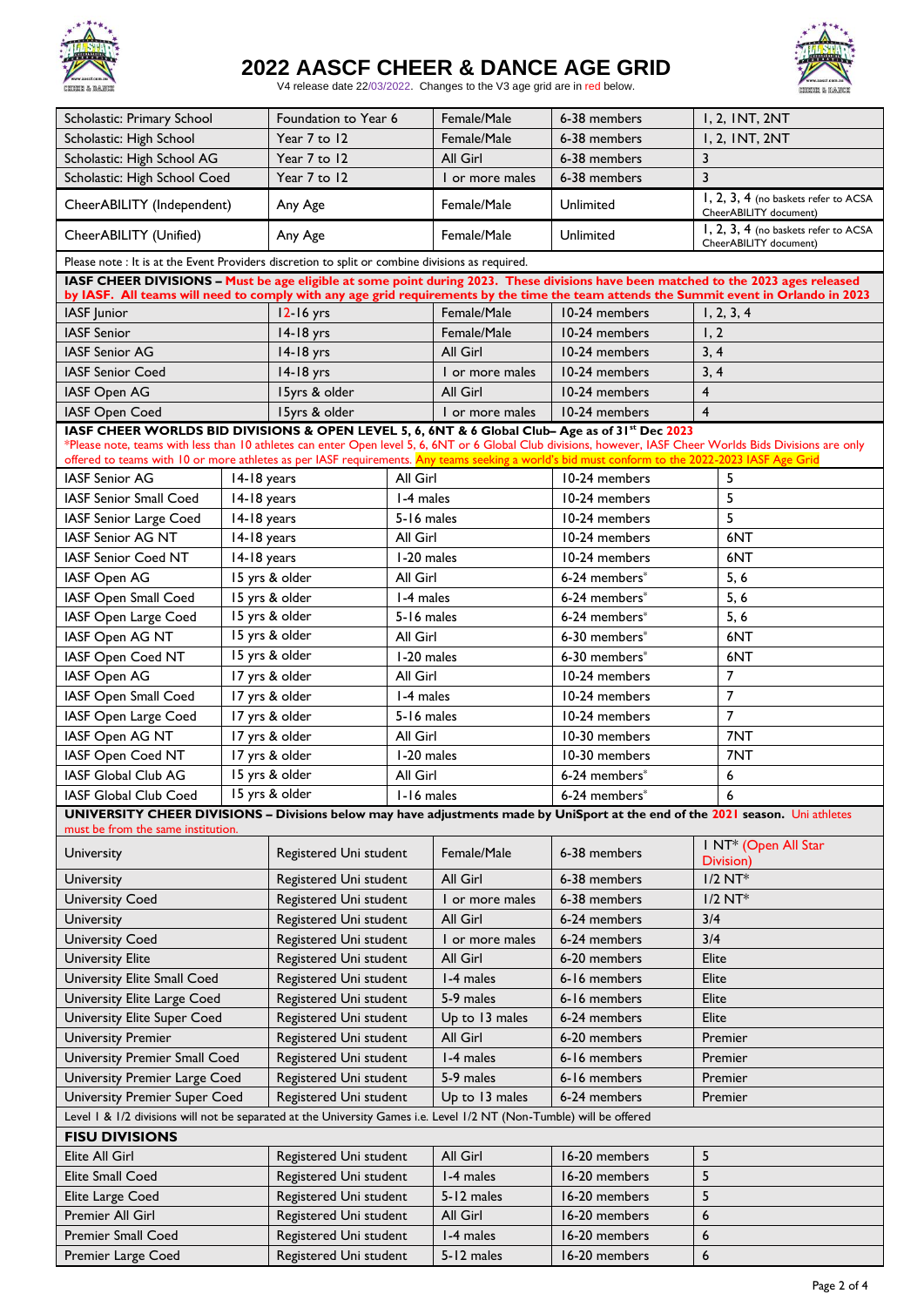

# **2022 AASCF CHEER & DANCE AGE GRID**



V4 release date 22/03/2022. Changes to the V3 age grid are in red below.

|                                                                                                                                                 | Foundation to Year 6<br>Scholastic: Primary School |                            | Female/Male |                 | 6-38 members  | 1, 2, INT, 2NT                                                                                                                                               |  |
|-------------------------------------------------------------------------------------------------------------------------------------------------|----------------------------------------------------|----------------------------|-------------|-----------------|---------------|--------------------------------------------------------------------------------------------------------------------------------------------------------------|--|
| Scholastic: High School                                                                                                                         | Year 7 to 12                                       |                            |             | Female/Male     | 6-38 members  | 1, 2, INT, 2NT                                                                                                                                               |  |
| Scholastic: High School AG                                                                                                                      |                                                    | Year 7 to 12               |             | All Girl        | 6-38 members  | $\overline{3}$                                                                                                                                               |  |
| Scholastic: High School Coed                                                                                                                    |                                                    | Year 7 to 12               |             | I or more males | 6-38 members  | $\overline{3}$                                                                                                                                               |  |
| CheerABILITY (Independent)                                                                                                                      |                                                    | Any Age                    |             | Female/Male     | Unlimited     | 1, 2, 3, 4 (no baskets refer to ACSA<br>CheerABILITY document)                                                                                               |  |
| CheerABILITY (Unified)                                                                                                                          | Any Age                                            |                            |             | Female/Male     | Unlimited     | 1, 2, 3, 4 (no baskets refer to ACSA<br>CheerABILITY document)                                                                                               |  |
| Please note : It is at the Event Providers discretion to split or combine divisions as required.                                                |                                                    |                            |             |                 |               |                                                                                                                                                              |  |
|                                                                                                                                                 |                                                    |                            |             |                 |               | IASF CHEER DIVISIONS - Must be age eligible at some point during 2023. These divisions have been matched to the 2023 ages released                           |  |
|                                                                                                                                                 |                                                    |                            |             |                 |               | by IASF. All teams will need to comply with any age grid requirements by the time the team attends the Summit event in Orlando in 2023                       |  |
| IASF Junior                                                                                                                                     |                                                    | 12-16 yrs                  |             | Female/Male     | 10-24 members | 1, 2, 3, 4                                                                                                                                                   |  |
| <b>IASF Senior</b>                                                                                                                              |                                                    | 14-18 yrs                  |             | Female/Male     | 10-24 members | 1, 2                                                                                                                                                         |  |
| <b>IASF Senior AG</b>                                                                                                                           |                                                    | $14-18$ yrs                |             | All Girl        | 10-24 members | 3, 4                                                                                                                                                         |  |
| <b>IASF Senior Coed</b>                                                                                                                         |                                                    | 14-18 yrs                  |             | I or more males | 10-24 members | 3, 4                                                                                                                                                         |  |
| IASF Open AG                                                                                                                                    |                                                    | 15yrs & older              | All Girl    |                 | 10-24 members | $\overline{4}$                                                                                                                                               |  |
| <b>IASF Open Coed</b>                                                                                                                           |                                                    | 15yrs & older              |             | I or more males | 10-24 members | $\overline{\mathbf{4}}$                                                                                                                                      |  |
| IASF CHEER WORLDS BID DIVISIONS & OPEN LEVEL 5, 6, 6NT & 6 Global Club- Age as of 31st Dec 2023                                                 |                                                    |                            |             |                 |               | *Please note, teams with less than 10 athletes can enter Open level 5, 6, 6NT or 6 Global Club divisions, however, IASF Cheer Worlds Bids Divisions are only |  |
| offered to teams with 10 or more athletes as per IASF requirements. Any teams seeking a world's bid must conform to the 2022-2023 IASF Age Grid |                                                    |                            |             |                 |               |                                                                                                                                                              |  |
| <b>IASF Senior AG</b>                                                                                                                           | $14-18$ years                                      |                            | All Girl    |                 | 10-24 members | 5                                                                                                                                                            |  |
| <b>IASF Senior Small Coed</b>                                                                                                                   | 14-18 years                                        |                            | 1-4 males   |                 | 10-24 members | 5                                                                                                                                                            |  |
| IASF Senior Large Coed                                                                                                                          | 14-18 years                                        |                            | 5-16 males  |                 | 10-24 members | 5                                                                                                                                                            |  |
| <b>IASF Senior AG NT</b>                                                                                                                        | 14-18 years                                        |                            | All Girl    |                 | 10-24 members | 6NT                                                                                                                                                          |  |
| <b>IASF Senior Coed NT</b>                                                                                                                      | 14-18 years                                        |                            | 1-20 males  |                 | 10-24 members | 6NT                                                                                                                                                          |  |
| IASF Open AG                                                                                                                                    |                                                    | 15 yrs & older             | All Girl    |                 | 6-24 members* | 5, 6                                                                                                                                                         |  |
| IASF Open Small Coed                                                                                                                            |                                                    | 15 yrs & older             | 1-4 males   |                 | 6-24 members* | 5, 6                                                                                                                                                         |  |
| IASF Open Large Coed                                                                                                                            |                                                    | 15 yrs & older             | 5-16 males  |                 | 6-24 members* | 5, 6                                                                                                                                                         |  |
| IASF Open AG NT                                                                                                                                 |                                                    | 15 yrs & older             | All Girl    |                 | 6-30 members* | 6NT                                                                                                                                                          |  |
| IASF Open Coed NT                                                                                                                               |                                                    | 15 yrs & older             | 1-20 males  |                 | 6-30 members* | 6NT                                                                                                                                                          |  |
| IASF Open AG                                                                                                                                    |                                                    | 17 yrs & older             |             | All Girl        | 10-24 members | $\overline{7}$                                                                                                                                               |  |
| IASF Open Small Coed                                                                                                                            |                                                    | 17 yrs & older             |             | 1-4 males       | 10-24 members | $\overline{7}$                                                                                                                                               |  |
| IASF Open Large Coed                                                                                                                            |                                                    | 17 yrs & older             |             | 5-16 males      | 10-24 members | $\overline{7}$                                                                                                                                               |  |
| IASF Open AG NT                                                                                                                                 |                                                    | 17 yrs & older             | All Girl    |                 | 10-30 members | 7NT                                                                                                                                                          |  |
| IASF Open Coed NT                                                                                                                               |                                                    | 17 yrs & older             | I-20 males  |                 | 10-30 members | 7NT                                                                                                                                                          |  |
| <b>IASF Global Club AG</b>                                                                                                                      |                                                    | 15 yrs & older<br>All Girl |             |                 | 6-24 members* | 6                                                                                                                                                            |  |
| IASF Global Club Coed                                                                                                                           |                                                    | 15 yrs & older             | I-16 males  |                 | 6-24 members* | 6                                                                                                                                                            |  |
|                                                                                                                                                 |                                                    |                            |             |                 |               | UNIVERSITY CHEER DIVISIONS - Divisions below may have adjustments made by UniSport at the end of the 2021 season. Uni athletes                               |  |
| must be from the same institution.                                                                                                              |                                                    |                            |             |                 |               |                                                                                                                                                              |  |
| University                                                                                                                                      |                                                    | Registered Uni student     |             | Female/Male     | 6-38 members  | I NT <sup>*</sup> (Open All Star<br>Division)                                                                                                                |  |
| University                                                                                                                                      |                                                    | Registered Uni student     |             | All Girl        | 6-38 members  | $1/2$ NT*                                                                                                                                                    |  |
| <b>University Coed</b>                                                                                                                          |                                                    | Registered Uni student     |             | I or more males | 6-38 members  | $1/2$ NT*                                                                                                                                                    |  |
| University                                                                                                                                      |                                                    | Registered Uni student     |             | All Girl        | 6-24 members  | 3/4                                                                                                                                                          |  |
| <b>University Coed</b>                                                                                                                          |                                                    | Registered Uni student     |             | I or more males | 6-24 members  | 3/4                                                                                                                                                          |  |
| <b>University Elite</b>                                                                                                                         |                                                    | Registered Uni student     |             | All Girl        | 6-20 members  | Elite                                                                                                                                                        |  |
| University Elite Small Coed                                                                                                                     | Registered Uni student                             |                            |             | I-4 males       | 6-16 members  | Elite                                                                                                                                                        |  |
| University Elite Large Coed                                                                                                                     | Registered Uni student                             |                            |             | 5-9 males       | 6-16 members  | Elite                                                                                                                                                        |  |
| University Elite Super Coed                                                                                                                     | Registered Uni student                             |                            |             | Up to 13 males  | 6-24 members  | Elite                                                                                                                                                        |  |
| <b>University Premier</b>                                                                                                                       | Registered Uni student                             |                            |             | All Girl        | 6-20 members  | Premier                                                                                                                                                      |  |
| University Premier Small Coed<br>Registered Uni student                                                                                         |                                                    |                            | I-4 males   | 6-16 members    | Premier       |                                                                                                                                                              |  |
| Registered Uni student<br>University Premier Large Coed                                                                                         |                                                    |                            | 5-9 males   | 6-16 members    | Premier       |                                                                                                                                                              |  |
| <b>University Premier Super Coed</b>                                                                                                            | Registered Uni student                             |                            |             | Up to 13 males  | 6-24 members  | Premier                                                                                                                                                      |  |
| Level 1 & 1/2 divisions will not be separated at the University Games i.e. Level 1/2 NT (Non-Tumble) will be offered                            |                                                    |                            |             |                 |               |                                                                                                                                                              |  |
| <b>FISU DIVISIONS</b>                                                                                                                           |                                                    |                            |             |                 |               |                                                                                                                                                              |  |
| Elite All Girl                                                                                                                                  |                                                    | Registered Uni student     |             | All Girl        | 16-20 members | 5                                                                                                                                                            |  |
| <b>Elite Small Coed</b>                                                                                                                         | Registered Uni student                             |                            |             | 1-4 males       | 16-20 members | 5                                                                                                                                                            |  |
| Elite Large Coed<br>Registered Uni student                                                                                                      |                                                    |                            | 5-12 males  | 16-20 members   | 5             |                                                                                                                                                              |  |
| Premier All Girl                                                                                                                                |                                                    | Registered Uni student     |             | All Girl        | 16-20 members | 6                                                                                                                                                            |  |
| Premier Small Coed                                                                                                                              |                                                    | Registered Uni student     |             | 1-4 males       | 16-20 members | 6                                                                                                                                                            |  |
| Premier Large Coed                                                                                                                              |                                                    | Registered Uni student     |             | 5-12 males      | 16-20 members | 6                                                                                                                                                            |  |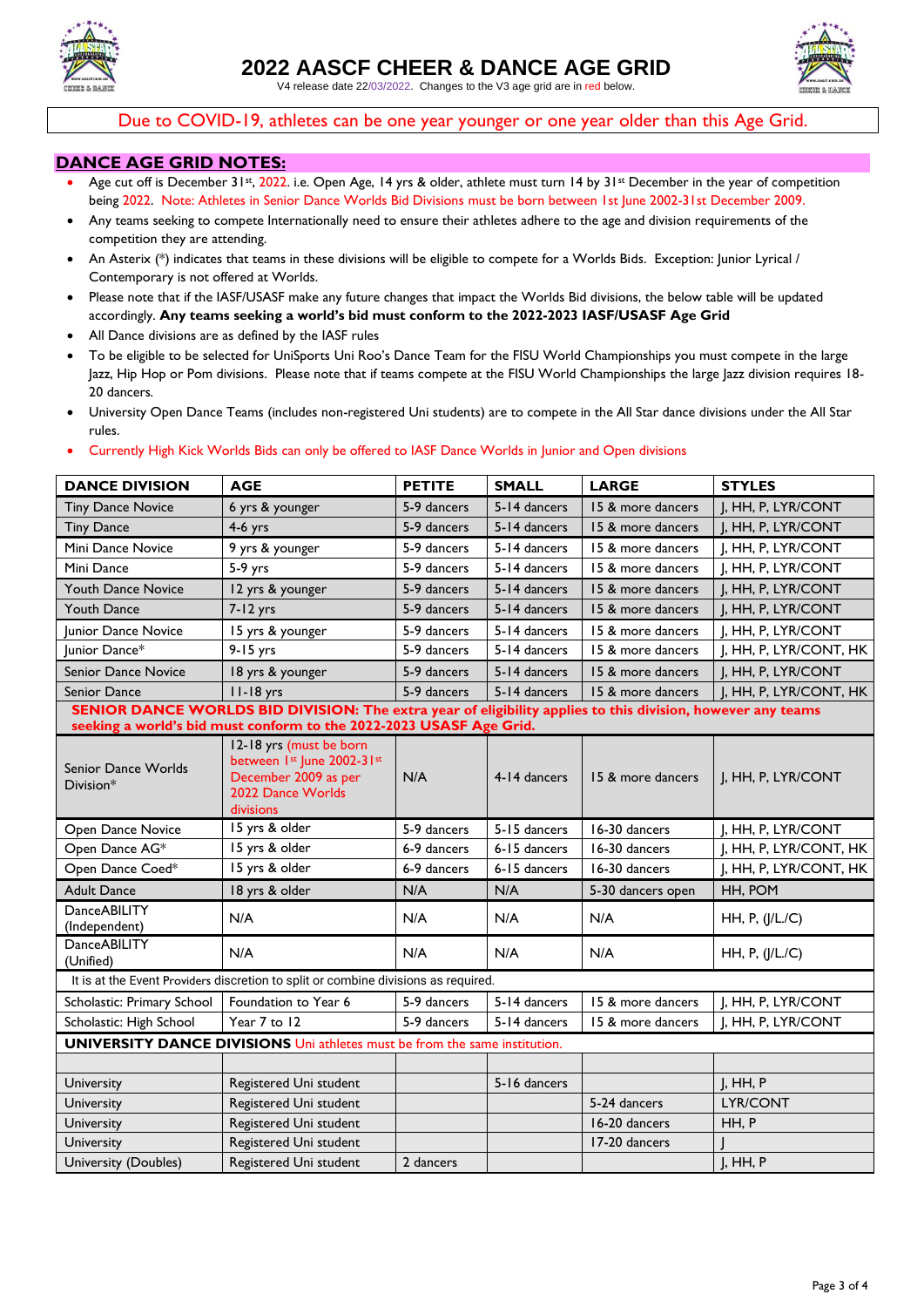

V4 release date 22/03/2022. Changes to the V3 age grid are in red below.



Due to COVID-19, athletes can be one year younger or one year older than this Age Grid.

### **DANCE AGE GRID NOTES:**

- Age cut off is December 31st, 2022. i.e. Open Age, 14 yrs & older, athlete must turn 14 by 31st December in the year of competition being 2022. Note: Athletes in Senior Dance Worlds Bid Divisions must be born between 1st June 2002-31st December 2009.
- Any teams seeking to compete Internationally need to ensure their athletes adhere to the age and division requirements of the competition they are attending.
- An Asterix (\*) indicates that teams in these divisions will be eligible to compete for a Worlds Bids. Exception: Junior Lyrical / Contemporary is not offered at Worlds.
- Please note that if the IASF/USASF make any future changes that impact the Worlds Bid divisions, the below table will be updated accordingly. **Any teams seeking a world's bid must conform to the 2022-2023 IASF/USASF Age Grid**
- All Dance divisions are as defined by the IASF rules
- To be eligible to be selected for UniSports Uni Roo's Dance Team for the FISU World Championships you must compete in the large Jazz, Hip Hop or Pom divisions. Please note that if teams compete at the FISU World Championships the large Jazz division requires 18- 20 dancers*.*
- University Open Dance Teams (includes non-registered Uni students) are to compete in the All Star dance divisions under the All Star rules.

#### • Currently High Kick Worlds Bids can only be offered to IASF Dance Worlds in Junior and Open divisions

| <b>DANCE DIVISION</b>                                                             | <b>AGE</b>                                                                                                      | <b>PETITE</b> | <b>SMALL</b> | <b>LARGE</b>      | <b>STYLES</b>          |  |
|-----------------------------------------------------------------------------------|-----------------------------------------------------------------------------------------------------------------|---------------|--------------|-------------------|------------------------|--|
| <b>Tiny Dance Novice</b>                                                          | 6 yrs & younger                                                                                                 | 5-9 dancers   | 5-14 dancers | 15 & more dancers | J, HH, P, LYR/CONT     |  |
| <b>Tiny Dance</b>                                                                 | $4-6$ yrs                                                                                                       | 5-9 dancers   | 5-14 dancers | 15 & more dancers | J, HH, P, LYR/CONT     |  |
| Mini Dance Novice                                                                 | 9 yrs & younger                                                                                                 | 5-9 dancers   | 5-14 dancers | 15 & more dancers | I, HH, P, LYR/CONT     |  |
| Mini Dance                                                                        | $5-9$ yrs                                                                                                       | 5-9 dancers   | 5-14 dancers | 15 & more dancers | J, HH, P, LYR/CONT     |  |
| <b>Youth Dance Novice</b>                                                         | 12 yrs & younger                                                                                                | 5-9 dancers   | 5-14 dancers | 15 & more dancers | J, HH, P, LYR/CONT     |  |
| Youth Dance                                                                       | $7 - 12$ yrs                                                                                                    | 5-9 dancers   | 5-14 dancers | 15 & more dancers | J, HH, P, LYR/CONT     |  |
| <b>Iunior Dance Novice</b>                                                        | 15 yrs & younger                                                                                                | 5-9 dancers   | 5-14 dancers | 15 & more dancers | I, HH, P, LYR/CONT     |  |
| Junior Dance*                                                                     | $9 - 15$ yrs                                                                                                    | 5-9 dancers   | 5-14 dancers | 15 & more dancers | J, HH, P, LYR/CONT, HK |  |
| Senior Dance Novice                                                               | 18 yrs & younger                                                                                                | 5-9 dancers   | 5-14 dancers | 15 & more dancers | J, HH, P, LYR/CONT     |  |
| <b>Senior Dance</b>                                                               | $11-18$ yrs                                                                                                     | 5-9 dancers   | 5-14 dancers | 15 & more dancers | J, HH, P, LYR/CONT, HK |  |
|                                                                                   | SENIOR DANCE WORLDS BID DIVISION: The extra year of eligibility applies to this division, however any teams     |               |              |                   |                        |  |
|                                                                                   | seeking a world's bid must conform to the 2022-2023 USASF Age Grid.                                             |               |              |                   |                        |  |
| Senior Dance Worlds<br>Division*                                                  | 12-18 yrs (must be born<br>between 1st June 2002-31st<br>December 2009 as per<br>2022 Dance Worlds<br>divisions | N/A           | 4-14 dancers | 15 & more dancers | J, HH, P, LYR/CONT     |  |
| Open Dance Novice                                                                 | 15 yrs & older                                                                                                  | 5-9 dancers   | 5-15 dancers | 16-30 dancers     | J, HH, P, LYR/CONT     |  |
| Open Dance AG*                                                                    | 15 yrs & older                                                                                                  | 6-9 dancers   | 6-15 dancers | 16-30 dancers     | J, HH, P, LYR/CONT, HK |  |
| Open Dance Coed*                                                                  | 15 yrs & older                                                                                                  | 6-9 dancers   | 6-15 dancers | 16-30 dancers     | J, HH, P, LYR/CONT, HK |  |
| <b>Adult Dance</b>                                                                | 18 yrs & older                                                                                                  | N/A           | N/A          | 5-30 dancers open | HH, POM                |  |
| <b>DanceABILITY</b><br>(Independent)                                              | N/A                                                                                                             | N/A           | N/A          | N/A               | HH, P, (J/L/C)         |  |
| <b>Dance ABILITY</b><br>(Unified)                                                 | N/A                                                                                                             | N/A           | N/A          | N/A               | HH, P, (J/L./C)        |  |
|                                                                                   | It is at the Event Providers discretion to split or combine divisions as required.                              |               |              |                   |                        |  |
| Scholastic: Primary School                                                        | Foundation to Year 6                                                                                            | 5-9 dancers   | 5-14 dancers | 15 & more dancers | J, HH, P, LYR/CONT     |  |
| Scholastic: High School                                                           | Year 7 to 12                                                                                                    | 5-9 dancers   | 5-14 dancers | 15 & more dancers | J, HH, P, LYR/CONT     |  |
| <b>UNIVERSITY DANCE DIVISIONS Uni athletes must be from the same institution.</b> |                                                                                                                 |               |              |                   |                        |  |
|                                                                                   |                                                                                                                 |               |              |                   |                        |  |
| University                                                                        | Registered Uni student                                                                                          |               | 5-16 dancers |                   | J, HH, P               |  |
| University                                                                        | Registered Uni student                                                                                          |               |              | 5-24 dancers      | LYR/CONT               |  |
| University                                                                        | Registered Uni student                                                                                          |               |              | 16-20 dancers     | HH, P                  |  |
| University                                                                        | Registered Uni student                                                                                          |               |              | 17-20 dancers     |                        |  |
| University (Doubles)                                                              | Registered Uni student                                                                                          | 2 dancers     |              |                   | I, HH, P               |  |